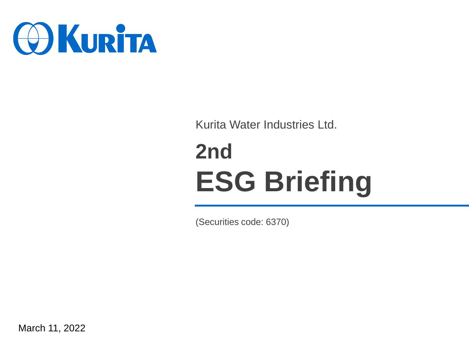

Kurita Water Industries Ltd.

# **2nd ESG Briefing**

(Securities code: 6370)

March 11, 2022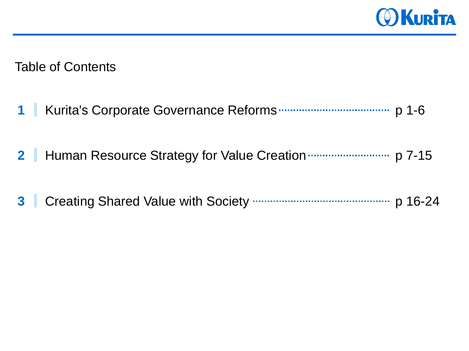

Table of Contents

- Kurita's Corporate Governance Reforms **1** p 1-6
- 2 Human Resource Strategy for Value Creation **<b>CONCO ACCES** p 7-15
- Creating Shared Value with Society **3** p 16-24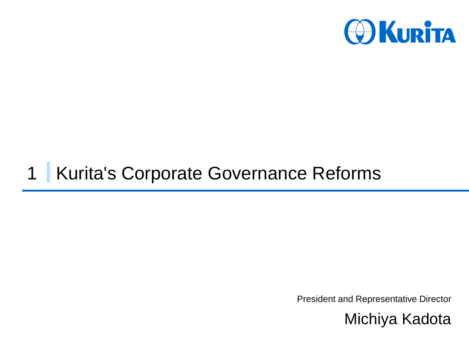

## 1 Kurita's Corporate Governance Reforms

President and Representative Director

Michiya Kadota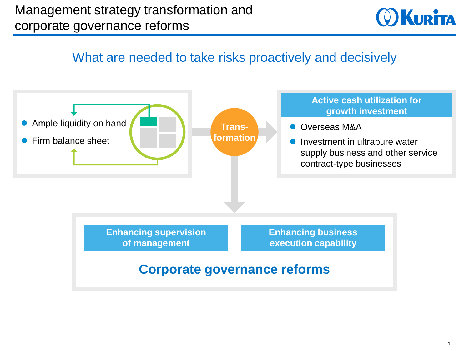

#### What are needed to take risks proactively and decisively

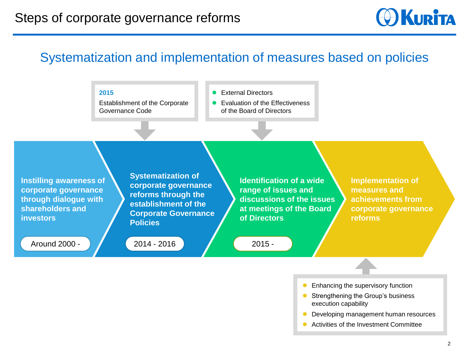**O KURITA** 

## Systematization and implementation of measures based on policies



- ⚫ Enhancing the supervisory function
- ⚫ Strengthening the Group's business execution capability
- Developing management human resources
- Activities of the Investment Committee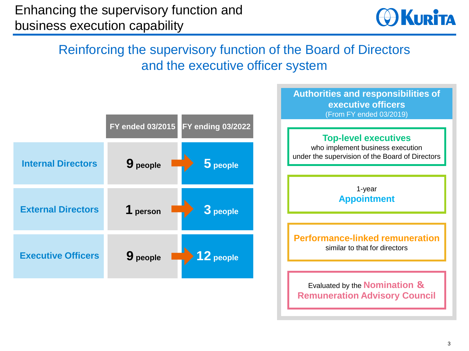

## Reinforcing the supervisory function of the Board of Directors and the executive officer system

|                           | <b>FY ended 03/2015</b><br>FY ending 03/2022 |
|---------------------------|----------------------------------------------|
| <b>Internal Directors</b> | 9 people<br>$5$ people                       |
| <b>External Directors</b> | 1 person<br>3 people                         |
| <b>Executive Officers</b> | $12$ people<br>9 people                      |

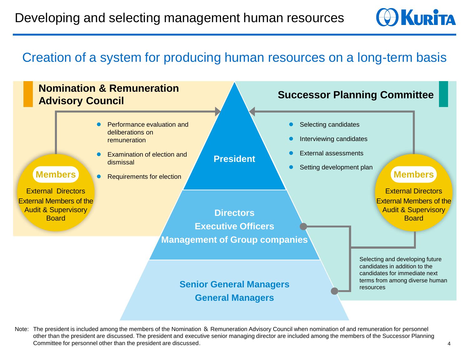

#### Creation of a system for producing human resources on a long-term basis



Note: The president is included among the members of the Nomination & Remuneration Advisory Council when nomination of and remuneration for personnel other than the president are discussed. The president and executive senior managing director are included among the members of the Successor Planning Committee for personnel other than the president are discussed.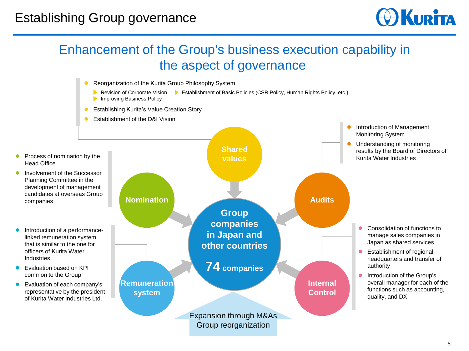

## Enhancement of the Group's business execution capability in the aspect of governance

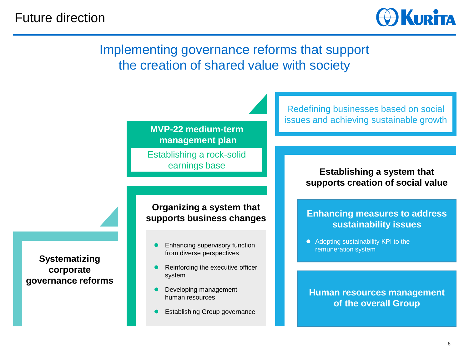

#### Implementing governance reforms that support the creation of shared value with society



Establishing a rock-solid earnings base

Redefining businesses based on social issues and achieving sustainable growth

#### **Establishing a system that supports creation of social value**

#### **Organizing a system that supports business changes**

- ⚫ Enhancing supervisory function from diverse perspectives
- ⚫ Reinforcing the executive officer system
- ⚫ Developing management human resources
- ⚫ Establishing Group governance

#### **Enhancing measures to address sustainability issues**

● Adopting sustainability KPI to the remuneration system

**Human resources management of the overall Group**

**Systematizing corporate governance reforms**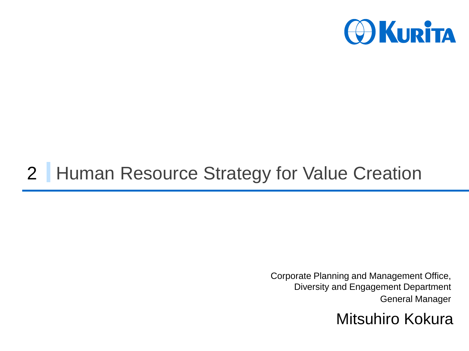

## 2 | Human Resource Strategy for Value Creation

Corporate Planning and Management Office, Diversity and Engagement Department General Manager

Mitsuhiro Kokura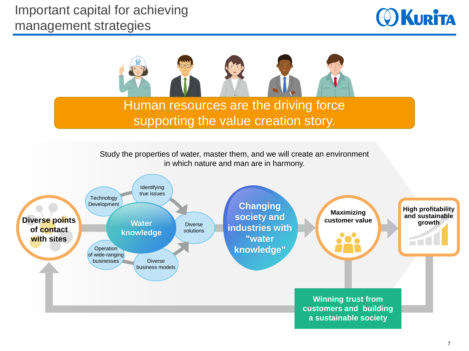



### supporting the value creation story.

Study the properties of water, master them, and we will create an environment in which nature and man are in harmony.

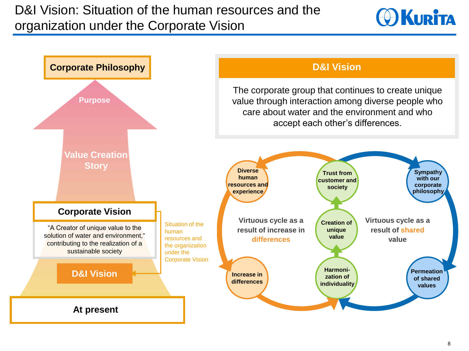

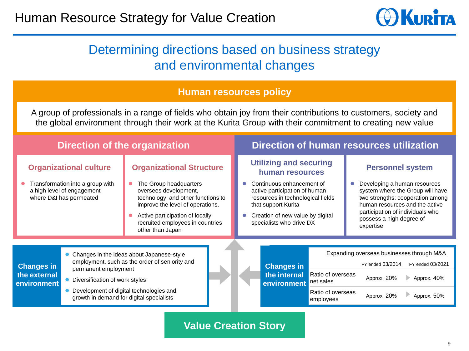

#### Determining directions based on business strategy and environmental changes

#### **Human resources policy**

A group of professionals in a range of fields who obtain joy from their contributions to customers, society and the global environment through their work at the Kurita Group with their commitment to creating new value

| <b>Direction of the organization</b>                                                                                       |                                                                                                                                                                                                                                                |                                                                                                                                                                                                                                                         |  | Direction of human resources utilization                                                                                                                                                                                                                     |                                                  |                                                                                                                                                                                                                                                |                                                                                             |                                                |
|----------------------------------------------------------------------------------------------------------------------------|------------------------------------------------------------------------------------------------------------------------------------------------------------------------------------------------------------------------------------------------|---------------------------------------------------------------------------------------------------------------------------------------------------------------------------------------------------------------------------------------------------------|--|--------------------------------------------------------------------------------------------------------------------------------------------------------------------------------------------------------------------------------------------------------------|--------------------------------------------------|------------------------------------------------------------------------------------------------------------------------------------------------------------------------------------------------------------------------------------------------|---------------------------------------------------------------------------------------------|------------------------------------------------|
| <b>Organizational culture</b><br>Transformation into a group with<br>a high level of engagement<br>where D&I has permeated |                                                                                                                                                                                                                                                | <b>Organizational Structure</b><br>The Group headquarters<br>oversees development,<br>technology, and other functions to<br>improve the level of operations.<br>Active participation of locally<br>recruited employees in countries<br>other than Japan |  | <b>Utilizing and securing</b><br>human resources<br>Continuous enhancement of<br>$\bullet$<br>active participation of human<br>resources in technological fields<br>that support Kurita<br>Creation of new value by digital<br>0<br>specialists who drive DX |                                                  | <b>Personnel system</b><br>Developing a human resources<br>system where the Group will have<br>two strengths: cooperation among<br>human resources and the active<br>participation of individuals who<br>possess a high degree of<br>expertise |                                                                                             |                                                |
| <b>Changes in</b><br>the external<br>environment                                                                           | • Changes in the ideas about Japanese-style<br>employment, such as the order of seniority and<br>permanent employment<br>Diversification of work styles<br>Development of digital technologies and<br>growth in demand for digital specialists |                                                                                                                                                                                                                                                         |  |                                                                                                                                                                                                                                                              | <b>Changes in</b><br>the internal<br>environment | Ratio of overseas<br>net sales<br>Ratio of overseas<br>employees                                                                                                                                                                               | Expanding overseas businesses through M&A<br>FY ended 03/2014<br>Approx. 20%<br>Approx. 20% | FY ended 03/2021<br>Approx. 40%<br>Approx. 50% |
|                                                                                                                            |                                                                                                                                                                                                                                                |                                                                                                                                                                                                                                                         |  |                                                                                                                                                                                                                                                              |                                                  |                                                                                                                                                                                                                                                |                                                                                             |                                                |

**Value Creation Story**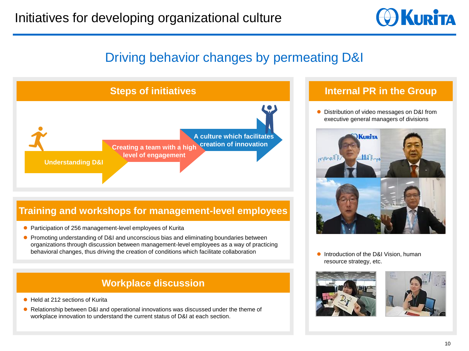

### Driving behavior changes by permeating D&I



#### **Training and workshops for management-level employees**

- ⚫ Participation of 256 management-level employees of Kurita
- Promoting understanding of D&I and unconscious bias and eliminating boundaries between organizations through discussion between management-level employees as a way of practicing behavioral changes, thus driving the creation of conditions which facilitate collaboration

#### **Workplace discussion**

- Held at 212 sections of Kurita
- Relationship between D&I and operational innovations was discussed under the theme of workplace innovation to understand the current status of D&I at each section.

#### **Internal PR in the Group**

⚫ Distribution of video messages on D&I from executive general managers of divisions



● Introduction of the D&I Vision, human resource strategy, etc.



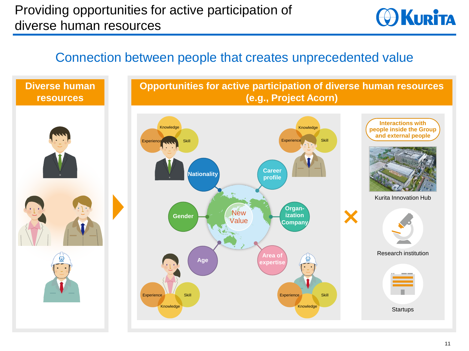**O**KURITA

#### Connection between people that creates unprecedented value

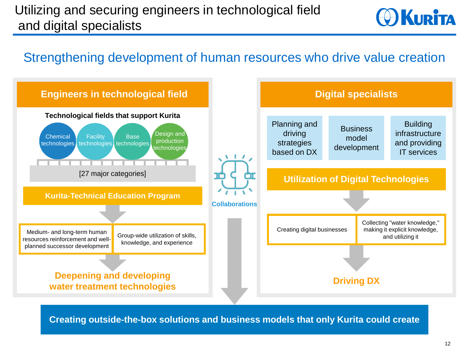## Utilizing and securing engineers in technological field and digital specialists



#### Strengthening development of human resources who drive value creation



**Creating outside-the-box solutions and business models that only Kurita could create**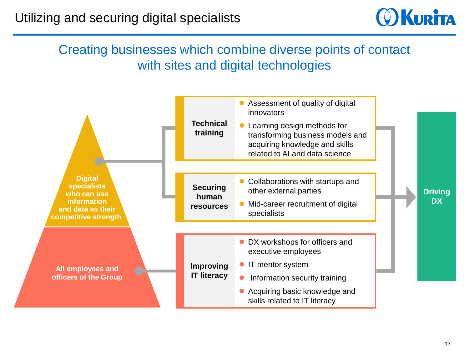

## Creating businesses which combine diverse points of contact with sites and digital technologies

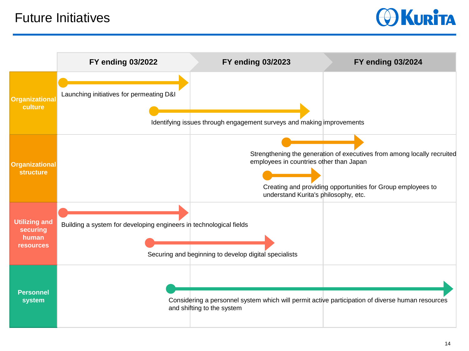

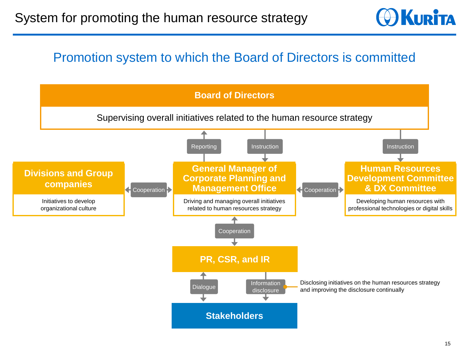

### Promotion system to which the Board of Directors is committed

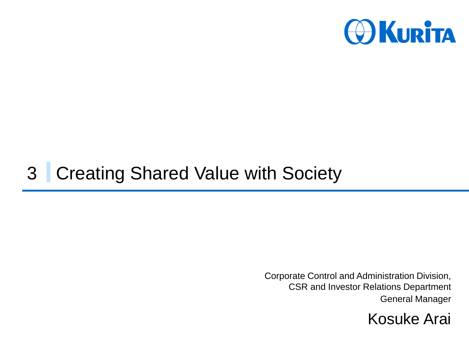

## 3 Creating Shared Value with Society

Corporate Control and Administration Division, CSR and Investor Relations Department General Manager

Kosuke Arai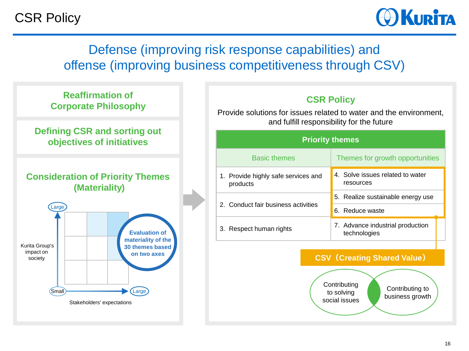CSR Policy



## Defense (improving risk response capabilities) and offense (improving business competitiveness through CSV)



#### **CSR Policy**

Provide solutions for issues related to water and the environment, and fulfill responsibility for the future

| <b>Priority themes</b>                          |                                                  |  |  |  |  |  |  |  |
|-------------------------------------------------|--------------------------------------------------|--|--|--|--|--|--|--|
| <b>Basic themes</b>                             | Themes for growth opportunities                  |  |  |  |  |  |  |  |
| 1. Provide highly safe services and<br>products | 4. Solve issues related to water<br>resources    |  |  |  |  |  |  |  |
|                                                 | 5. Realize sustainable energy use                |  |  |  |  |  |  |  |
| 2. Conduct fair business activities             | 6. Reduce waste                                  |  |  |  |  |  |  |  |
| 3. Respect human rights                         | 7. Advance industrial production<br>technologies |  |  |  |  |  |  |  |

#### **CSV(Creating Shared Value)**



Contributing to business growth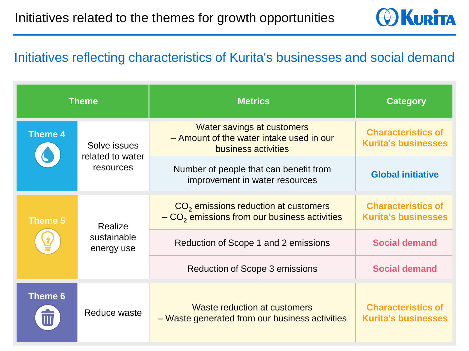

#### Initiatives reflecting characteristics of Kurita's businesses and social demand

| <b>Theme</b>   |                                               | <b>Metrics</b>                                                                                       | <b>Category</b>                                         |  |
|----------------|-----------------------------------------------|------------------------------------------------------------------------------------------------------|---------------------------------------------------------|--|
| <b>Theme 4</b> | Solve issues<br>related to water<br>resources | <b>Water savings at customers</b><br>- Amount of the water intake used in our<br>business activities | <b>Characteristics of</b><br><b>Kurita's businesses</b> |  |
|                |                                               | Number of people that can benefit from<br>improvement in water resources                             | <b>Global initiative</b>                                |  |
| Theme 5        | Realize<br>sustainable<br>energy use          | $CO2$ emissions reduction at customers<br>$-CO2$ emissions from our business activities              | <b>Characteristics of</b><br><b>Kurita's businesses</b> |  |
|                |                                               | Reduction of Scope 1 and 2 emissions                                                                 | <b>Social demand</b>                                    |  |
|                |                                               | Reduction of Scope 3 emissions                                                                       | <b>Social demand</b>                                    |  |
| Theme 6        | Reduce waste                                  | Waste reduction at customers<br>- Waste generated from our business activities                       | <b>Characteristics of</b><br><b>Kurita's businesses</b> |  |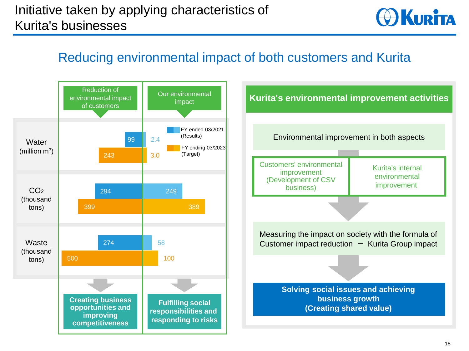

## Reducing environmental impact of both customers and Kurita



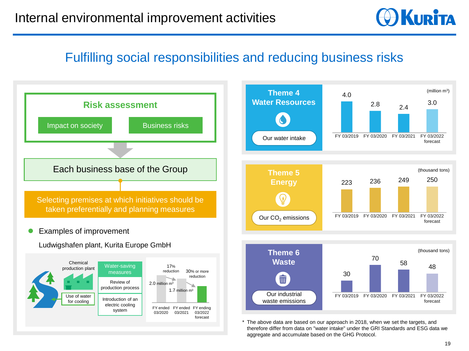**O KURITA** 

## Fulfilling social responsibilities and reducing business risks

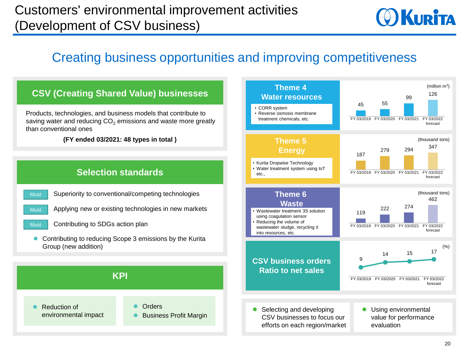## Customers' environmental improvement activities (Development of CSV business)



## Creating business opportunities and improving competitiveness

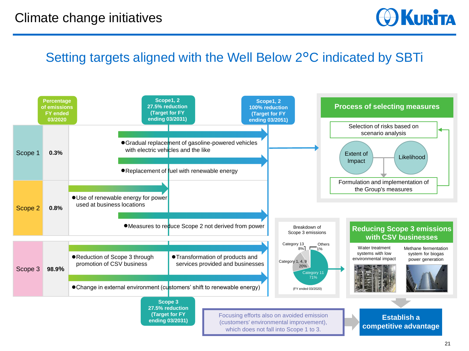**O KURITA** 

#### Setting targets aligned with the Well Below 2°C indicated by SBTi

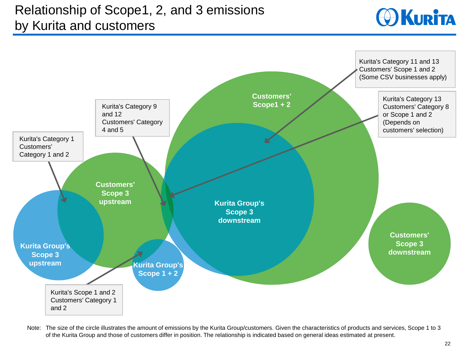## Relationship of Scope1, 2, and 3 emissions by Kurita and customers





Note: The size of the circle illustrates the amount of emissions by the Kurita Group/customers. Given the characteristics of products and services, Scope 1 to 3 of the Kurita Group and those of customers differ in position. The relationship is indicated based on general ideas estimated at present.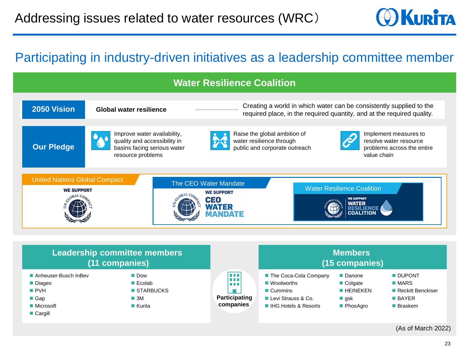

#### Participating in industry-driven initiatives as a leadership committee member



(As of March 2022)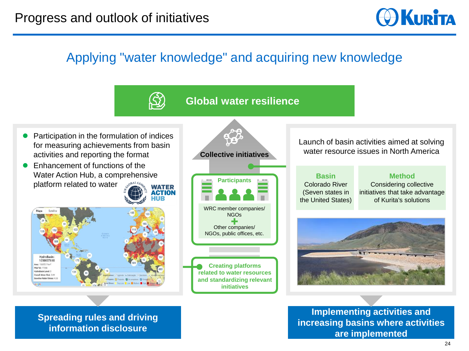**O**KURITA

## Applying "water knowledge" and acquiring new knowledge

#### **Global water resilience**

- ⚫ Participation in the formulation of indices for measuring achievements from basin activities and reporting the format
- ⚫ Enhancement of functions of the Water Action Hub, a comprehensive platform related to water





**Creating platforms related to water resources and standardizing relevant initiatives** WRC member companies/ NGOs Other companies/ NGOs, public offices, etc.

**Participants**

**Collective initiatives**

Launch of basin activities aimed at solving water resource issues in North America

**Basin** Colorado River (Seven states in the United States)

**Method** Considering collective initiatives that take advantage of Kurita's solutions



**Implementing activities and increasing basins where activities are implemented**

**Spreading rules and driving information disclosure**